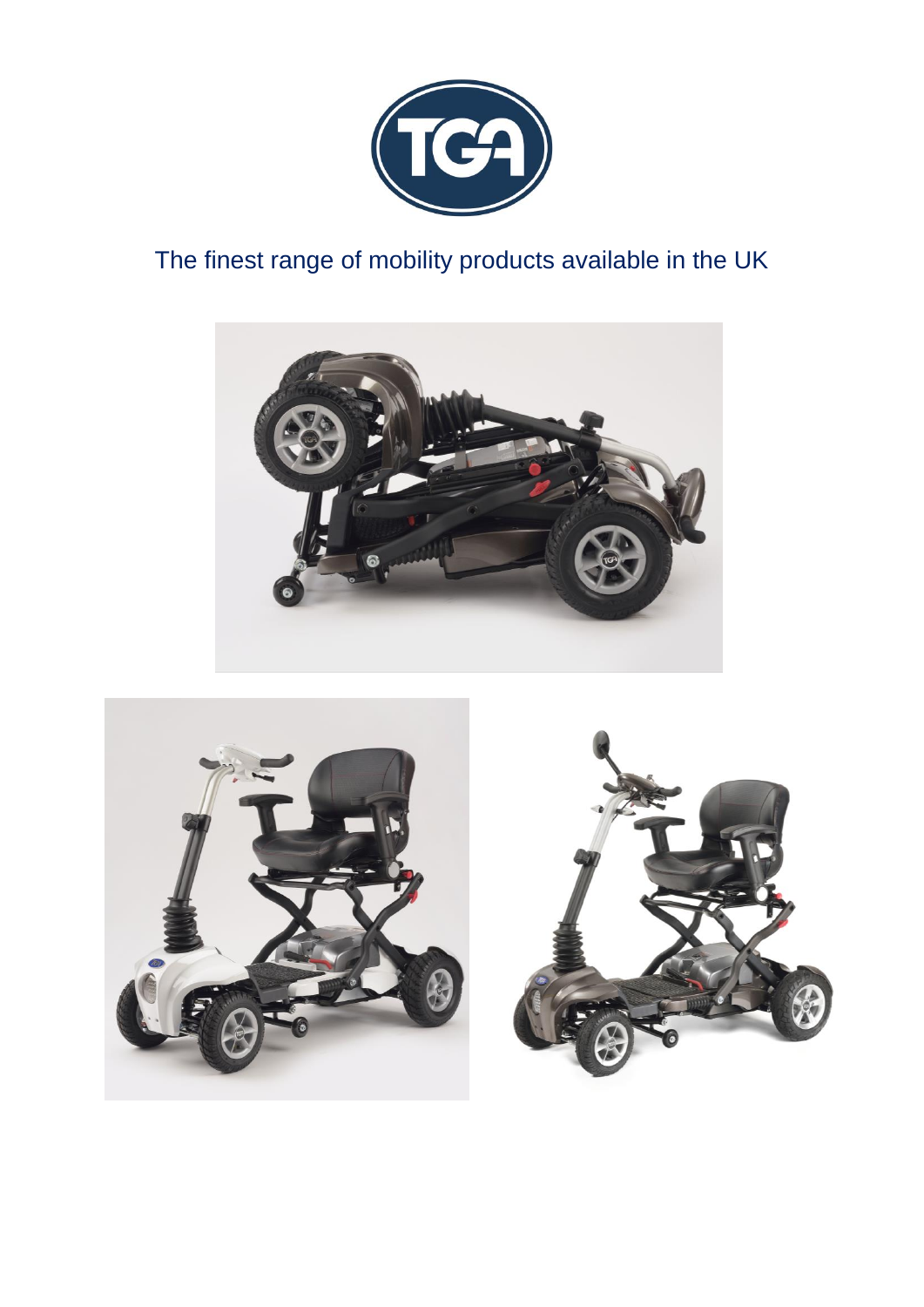

# The finest range of mobility products available in the UK



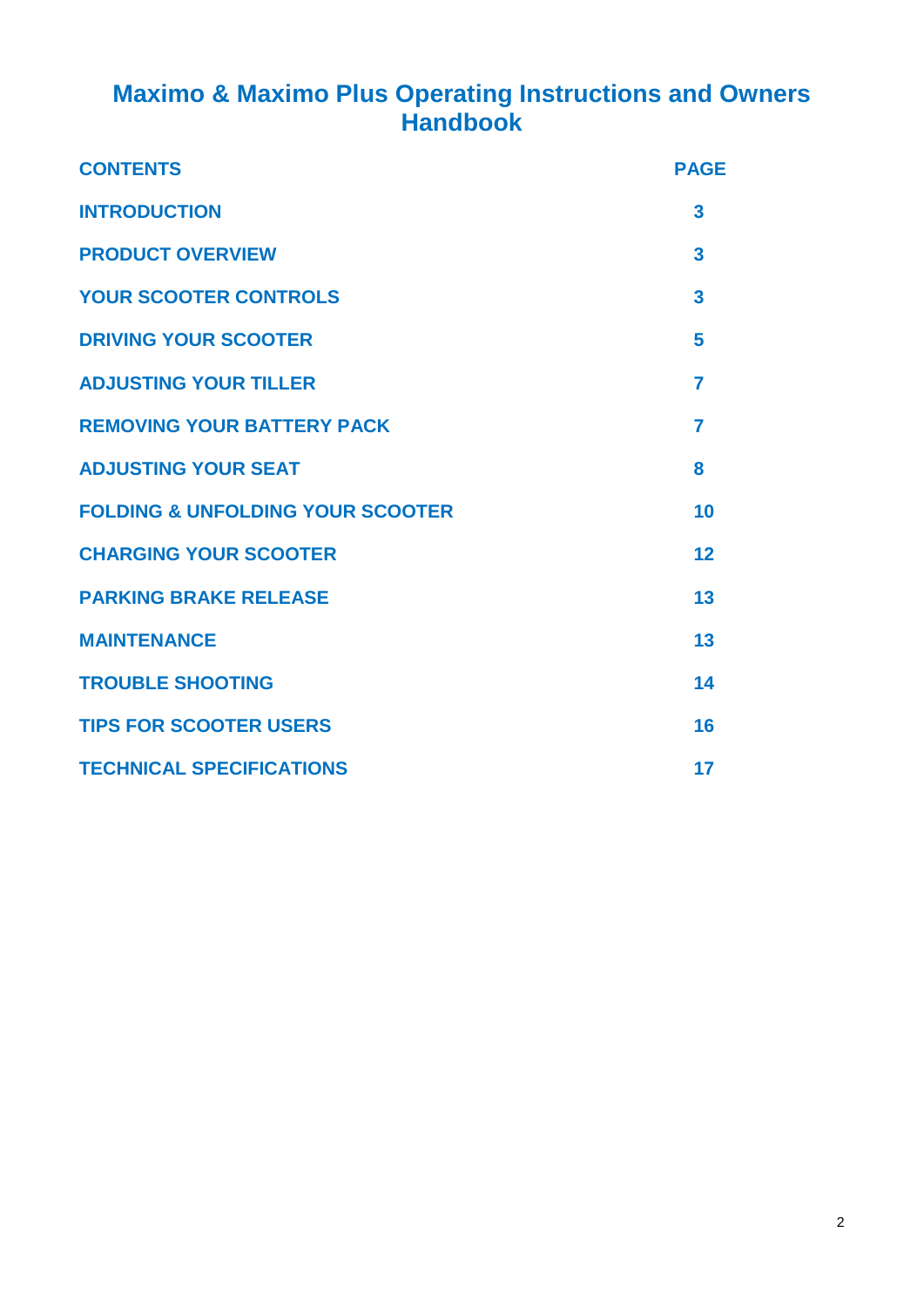# **Maximo & Maximo Plus Operating Instructions and Owners Handbook**

| <b>CONTENTS</b>                             | <b>PAGE</b>    |
|---------------------------------------------|----------------|
| <b>INTRODUCTION</b>                         | 3              |
| <b>PRODUCT OVERVIEW</b>                     | 3              |
| <b>YOUR SCOOTER CONTROLS</b>                | 3              |
| <b>DRIVING YOUR SCOOTER</b>                 | 5              |
| <b>ADJUSTING YOUR TILLER</b>                | 7              |
| <b>REMOVING YOUR BATTERY PACK</b>           | $\overline{7}$ |
| <b>ADJUSTING YOUR SEAT</b>                  | 8              |
| <b>FOLDING &amp; UNFOLDING YOUR SCOOTER</b> | 10             |
| <b>CHARGING YOUR SCOOTER</b>                | 12             |
| <b>PARKING BRAKE RELEASE</b>                | 13             |
| <b>MAINTENANCE</b>                          | 13             |
| <b>TROUBLE SHOOTING</b>                     | 14             |
| <b>TIPS FOR SCOOTER USERS</b>               | 16             |
| <b>TECHNICAL SPECIFICATIONS</b>             | 17             |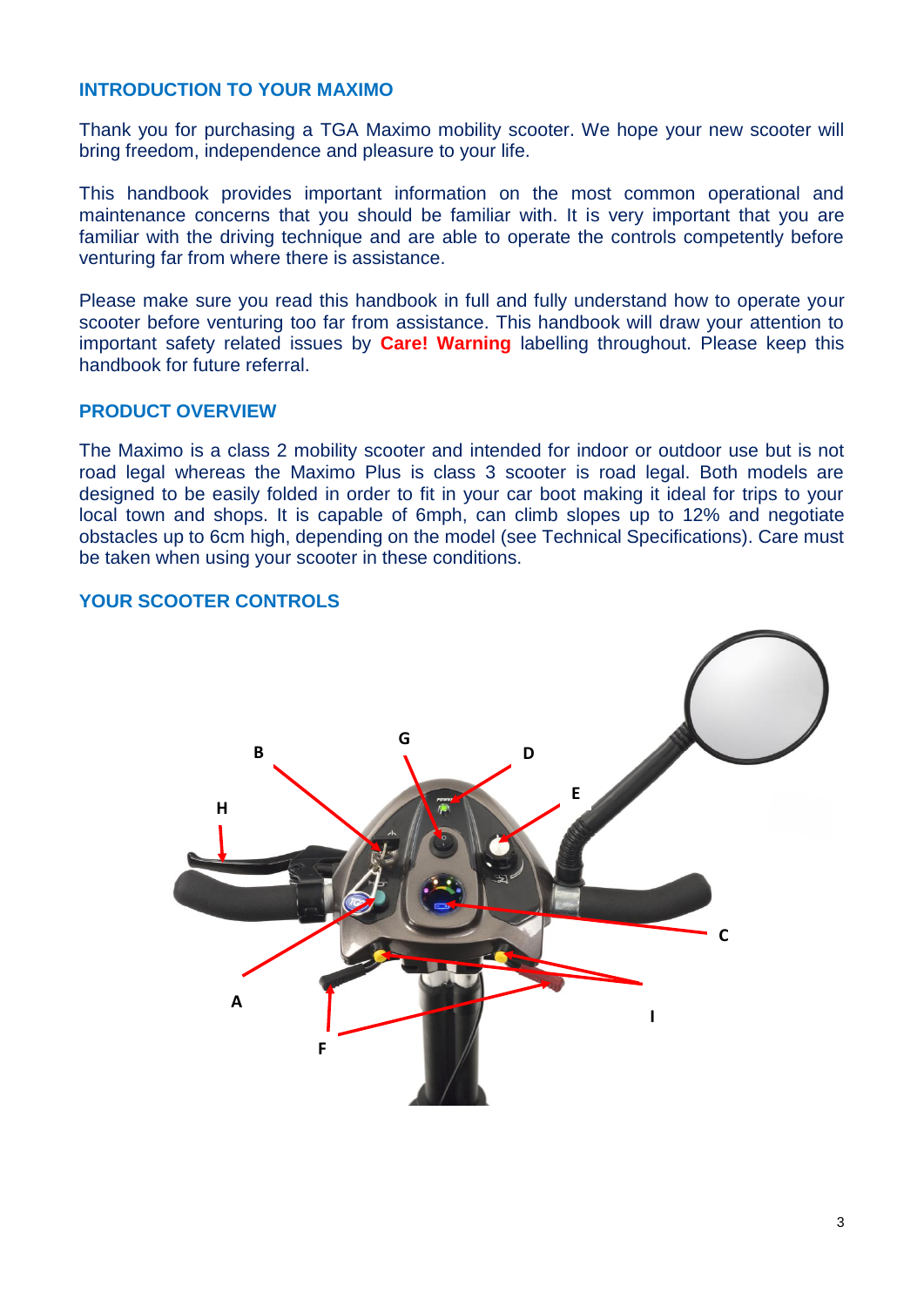#### **INTRODUCTION TO YOUR MAXIMO**

Thank you for purchasing a TGA Maximo mobility scooter. We hope your new scooter will bring freedom, independence and pleasure to your life.

This handbook provides important information on the most common operational and maintenance concerns that you should be familiar with. It is very important that you are familiar with the driving technique and are able to operate the controls competently before venturing far from where there is assistance.

Please make sure you read this handbook in full and fully understand how to operate your scooter before venturing too far from assistance. This handbook will draw your attention to important safety related issues by **Care! Warning** labelling throughout. Please keep this handbook for future referral.

#### **PRODUCT OVERVIEW**

The Maximo is a class 2 mobility scooter and intended for indoor or outdoor use but is not road legal whereas the Maximo Plus is class 3 scooter is road legal. Both models are designed to be easily folded in order to fit in your car boot making it ideal for trips to your local town and shops. It is capable of 6mph, can climb slopes up to 12% and negotiate obstacles up to 6cm high, depending on the model (see Technical Specifications). Care must be taken when using your scooter in these conditions.

#### **YOUR SCOOTER CONTROLS**

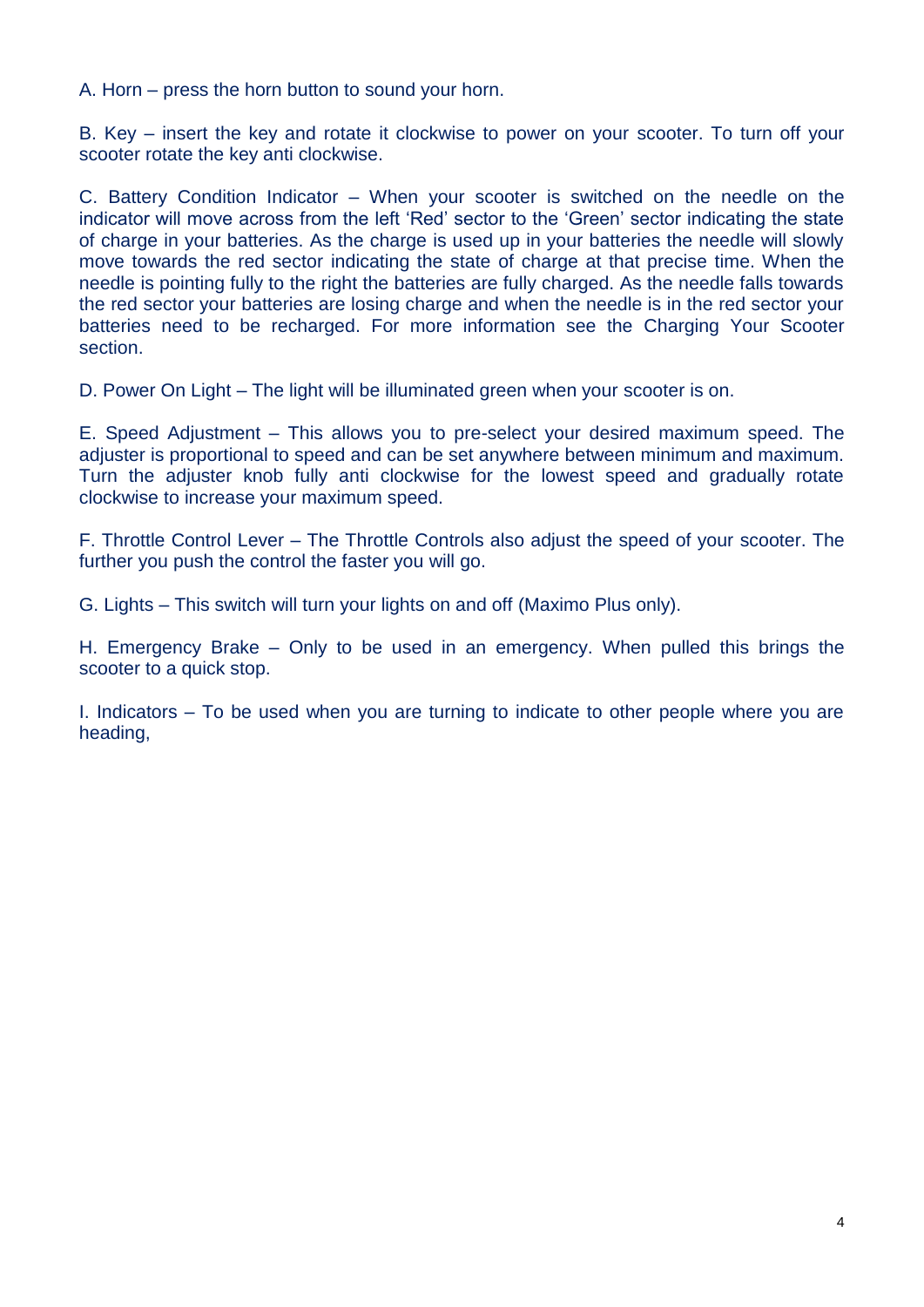A. Horn – press the horn button to sound your horn.

B. Key – insert the key and rotate it clockwise to power on your scooter. To turn off your scooter rotate the key anti clockwise.

C. Battery Condition Indicator – When your scooter is switched on the needle on the indicator will move across from the left 'Red' sector to the 'Green' sector indicating the state of charge in your batteries. As the charge is used up in your batteries the needle will slowly move towards the red sector indicating the state of charge at that precise time. When the needle is pointing fully to the right the batteries are fully charged. As the needle falls towards the red sector your batteries are losing charge and when the needle is in the red sector your batteries need to be recharged. For more information see the Charging Your Scooter section.

D. Power On Light – The light will be illuminated green when your scooter is on.

E. Speed Adjustment – This allows you to pre-select your desired maximum speed. The adjuster is proportional to speed and can be set anywhere between minimum and maximum. Turn the adjuster knob fully anti clockwise for the lowest speed and gradually rotate clockwise to increase your maximum speed.

F. Throttle Control Lever – The Throttle Controls also adjust the speed of your scooter. The further you push the control the faster you will go.

G. Lights – This switch will turn your lights on and off (Maximo Plus only).

H. Emergency Brake – Only to be used in an emergency. When pulled this brings the scooter to a quick stop.

I. Indicators – To be used when you are turning to indicate to other people where you are heading,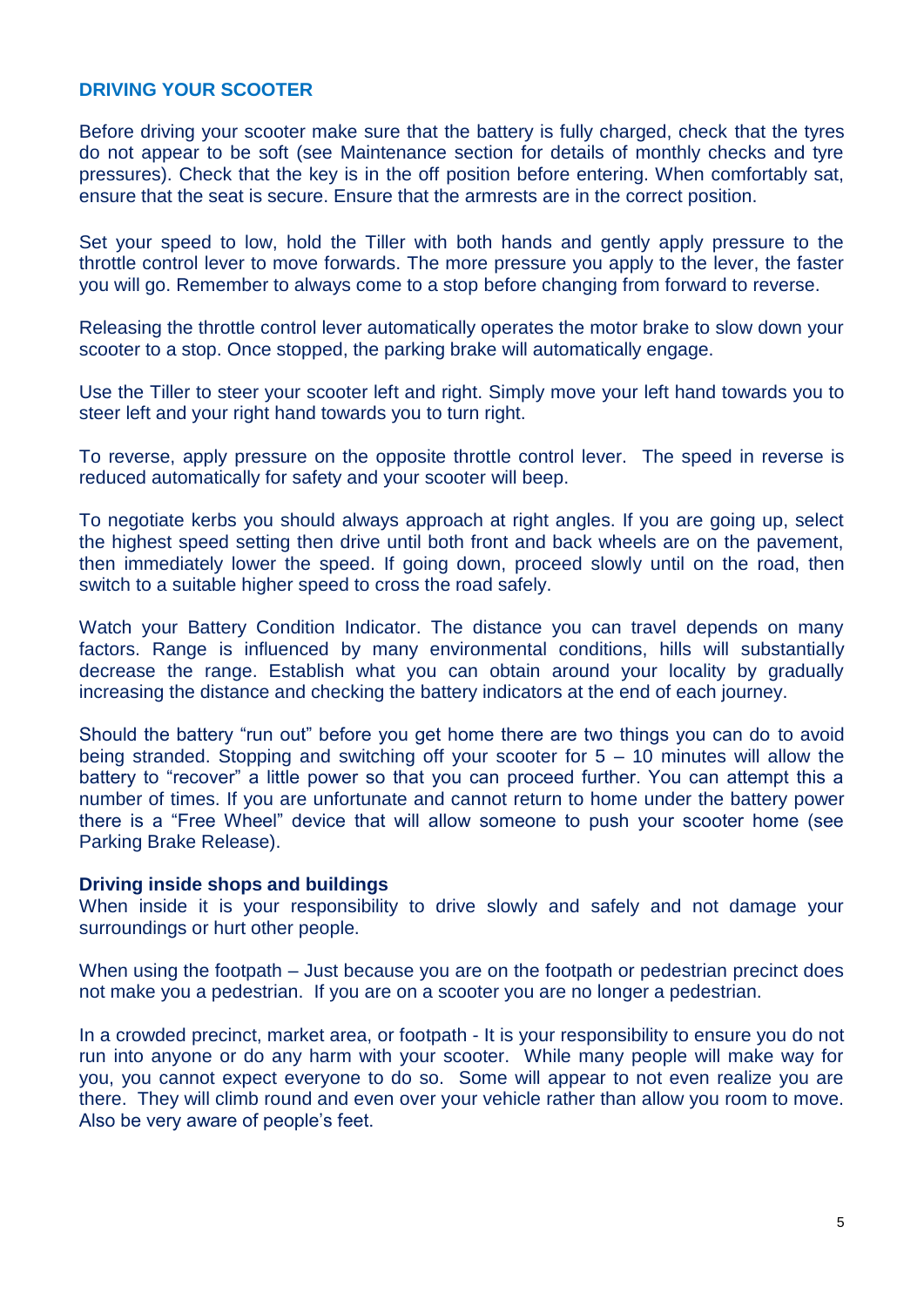#### **DRIVING YOUR SCOOTER**

Before driving your scooter make sure that the battery is fully charged, check that the tyres do not appear to be soft (see Maintenance section for details of monthly checks and tyre pressures). Check that the key is in the off position before entering. When comfortably sat, ensure that the seat is secure. Ensure that the armrests are in the correct position.

Set your speed to low, hold the Tiller with both hands and gently apply pressure to the throttle control lever to move forwards. The more pressure you apply to the lever, the faster you will go. Remember to always come to a stop before changing from forward to reverse.

Releasing the throttle control lever automatically operates the motor brake to slow down your scooter to a stop. Once stopped, the parking brake will automatically engage.

Use the Tiller to steer your scooter left and right. Simply move your left hand towards you to steer left and your right hand towards you to turn right.

To reverse, apply pressure on the opposite throttle control lever. The speed in reverse is reduced automatically for safety and your scooter will beep.

To negotiate kerbs you should always approach at right angles. If you are going up, select the highest speed setting then drive until both front and back wheels are on the pavement, then immediately lower the speed. If going down, proceed slowly until on the road, then switch to a suitable higher speed to cross the road safely.

Watch your Battery Condition Indicator. The distance you can travel depends on many factors. Range is influenced by many environmental conditions, hills will substantially decrease the range. Establish what you can obtain around your locality by gradually increasing the distance and checking the battery indicators at the end of each journey.

Should the battery "run out" before you get home there are two things you can do to avoid being stranded. Stopping and switching off your scooter for  $5 - 10$  minutes will allow the battery to "recover" a little power so that you can proceed further. You can attempt this a number of times. If you are unfortunate and cannot return to home under the battery power there is a "Free Wheel" device that will allow someone to push your scooter home (see Parking Brake Release).

#### **Driving inside shops and buildings**

When inside it is your responsibility to drive slowly and safely and not damage your surroundings or hurt other people.

When using the footpath – Just because you are on the footpath or pedestrian precinct does not make you a pedestrian. If you are on a scooter you are no longer a pedestrian.

In a crowded precinct, market area, or footpath - It is your responsibility to ensure you do not run into anyone or do any harm with your scooter. While many people will make way for you, you cannot expect everyone to do so. Some will appear to not even realize you are there. They will climb round and even over your vehicle rather than allow you room to move. Also be very aware of people's feet.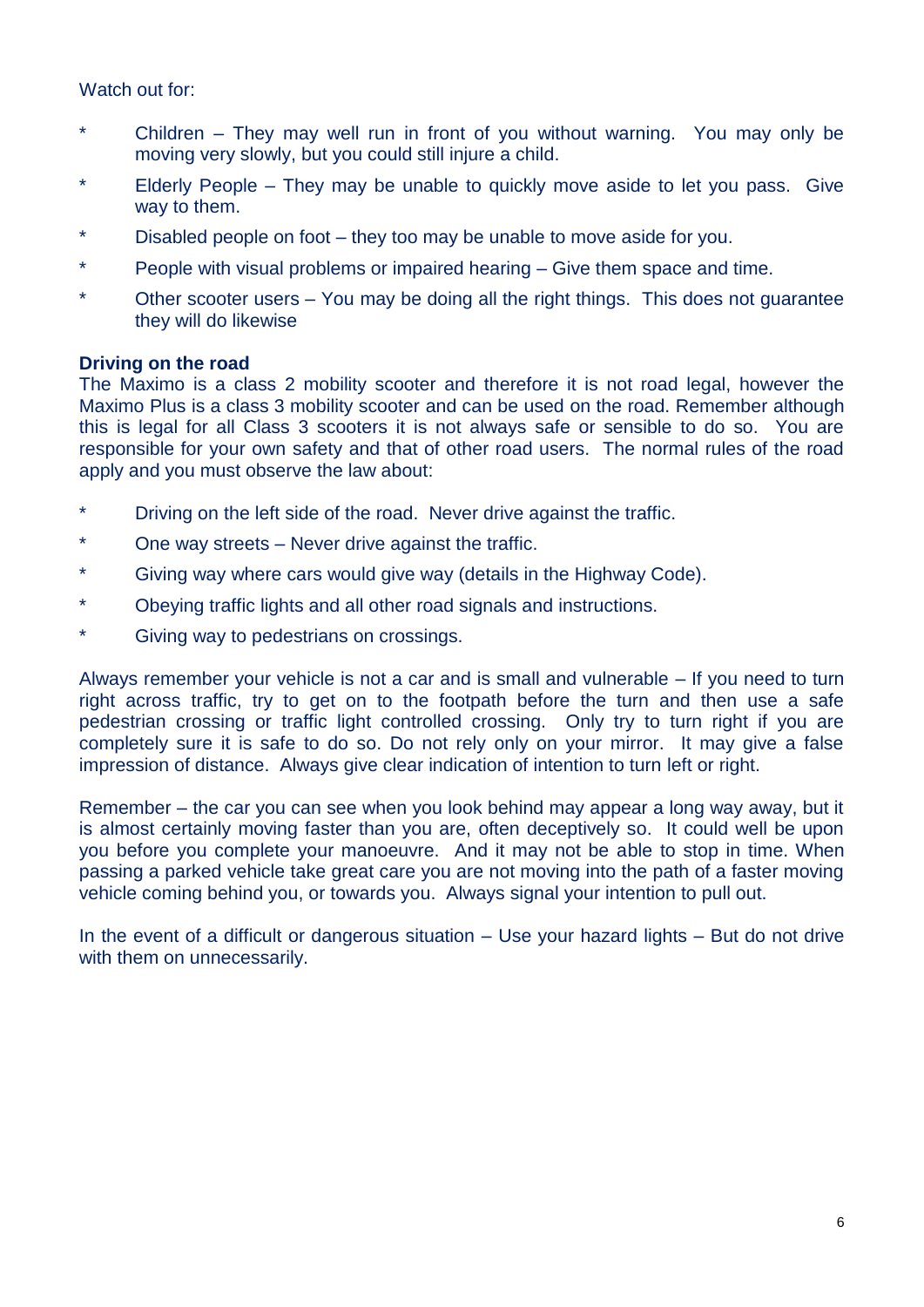Watch out for:

- \* Children They may well run in front of you without warning. You may only be moving very slowly, but you could still injure a child.
- \* Elderly People They may be unable to quickly move aside to let you pass. Give way to them.
- \* Disabled people on foot they too may be unable to move aside for you.
- \* People with visual problems or impaired hearing Give them space and time.
- \* Other scooter users You may be doing all the right things. This does not guarantee they will do likewise

#### **Driving on the road**

The Maximo is a class 2 mobility scooter and therefore it is not road legal, however the Maximo Plus is a class 3 mobility scooter and can be used on the road. Remember although this is legal for all Class 3 scooters it is not always safe or sensible to do so. You are responsible for your own safety and that of other road users. The normal rules of the road apply and you must observe the law about:

- Driving on the left side of the road. Never drive against the traffic.
- One way streets Never drive against the traffic.
- Giving way where cars would give way (details in the Highway Code).
- \* Obeying traffic lights and all other road signals and instructions.
- \* Giving way to pedestrians on crossings.

Always remember your vehicle is not a car and is small and vulnerable – If you need to turn right across traffic, try to get on to the footpath before the turn and then use a safe pedestrian crossing or traffic light controlled crossing. Only try to turn right if you are completely sure it is safe to do so. Do not rely only on your mirror. It may give a false impression of distance. Always give clear indication of intention to turn left or right.

Remember – the car you can see when you look behind may appear a long way away, but it is almost certainly moving faster than you are, often deceptively so. It could well be upon you before you complete your manoeuvre. And it may not be able to stop in time. When passing a parked vehicle take great care you are not moving into the path of a faster moving vehicle coming behind you, or towards you. Always signal your intention to pull out.

In the event of a difficult or dangerous situation – Use your hazard lights – But do not drive with them on unnecessarily.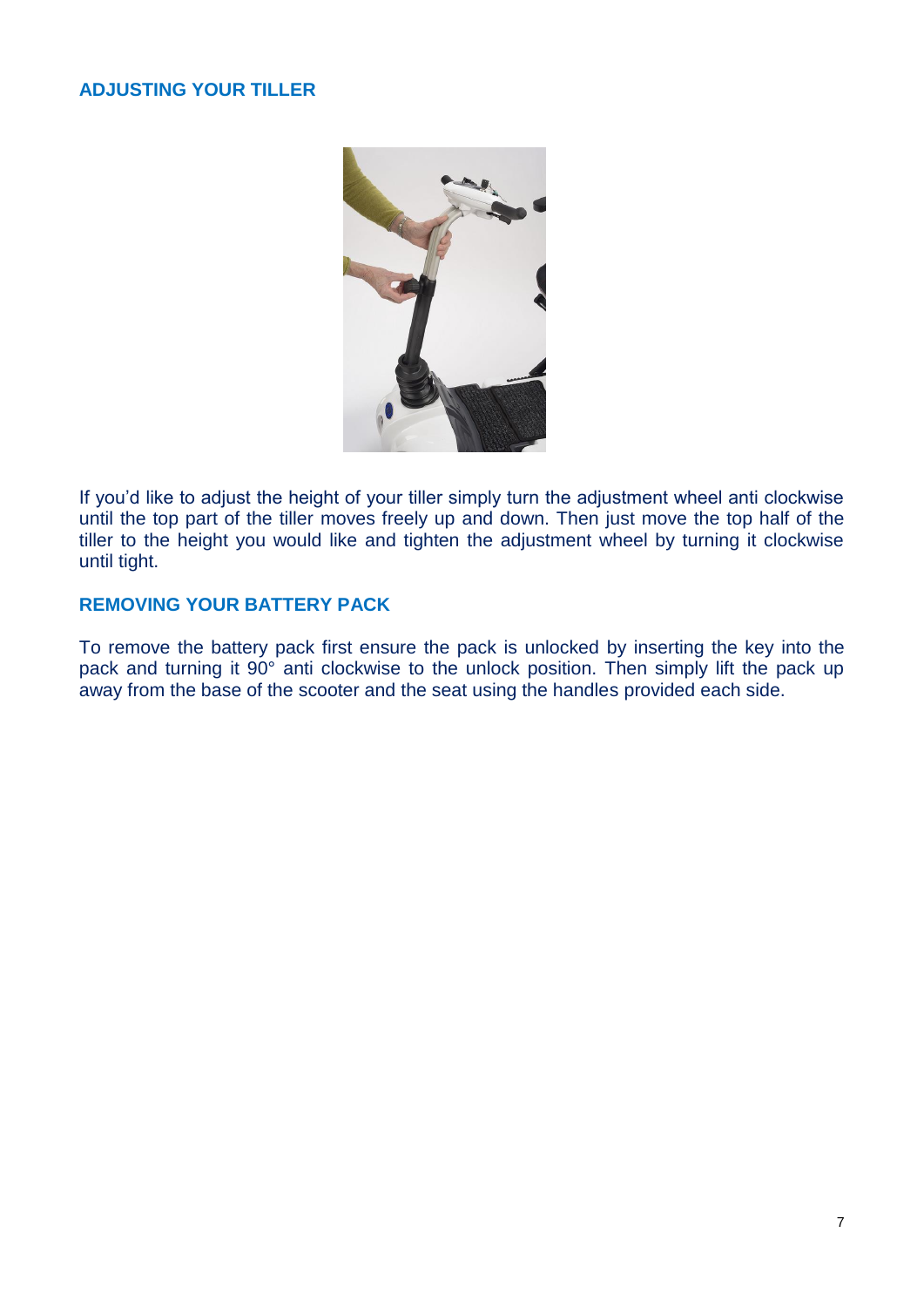# **ADJUSTING YOUR TILLER**



If you'd like to adjust the height of your tiller simply turn the adjustment wheel anti clockwise until the top part of the tiller moves freely up and down. Then just move the top half of the tiller to the height you would like and tighten the adjustment wheel by turning it clockwise until tight.

# **REMOVING YOUR BATTERY PACK**

To remove the battery pack first ensure the pack is unlocked by inserting the key into the pack and turning it 90° anti clockwise to the unlock position. Then simply lift the pack up away from the base of the scooter and the seat using the handles provided each side.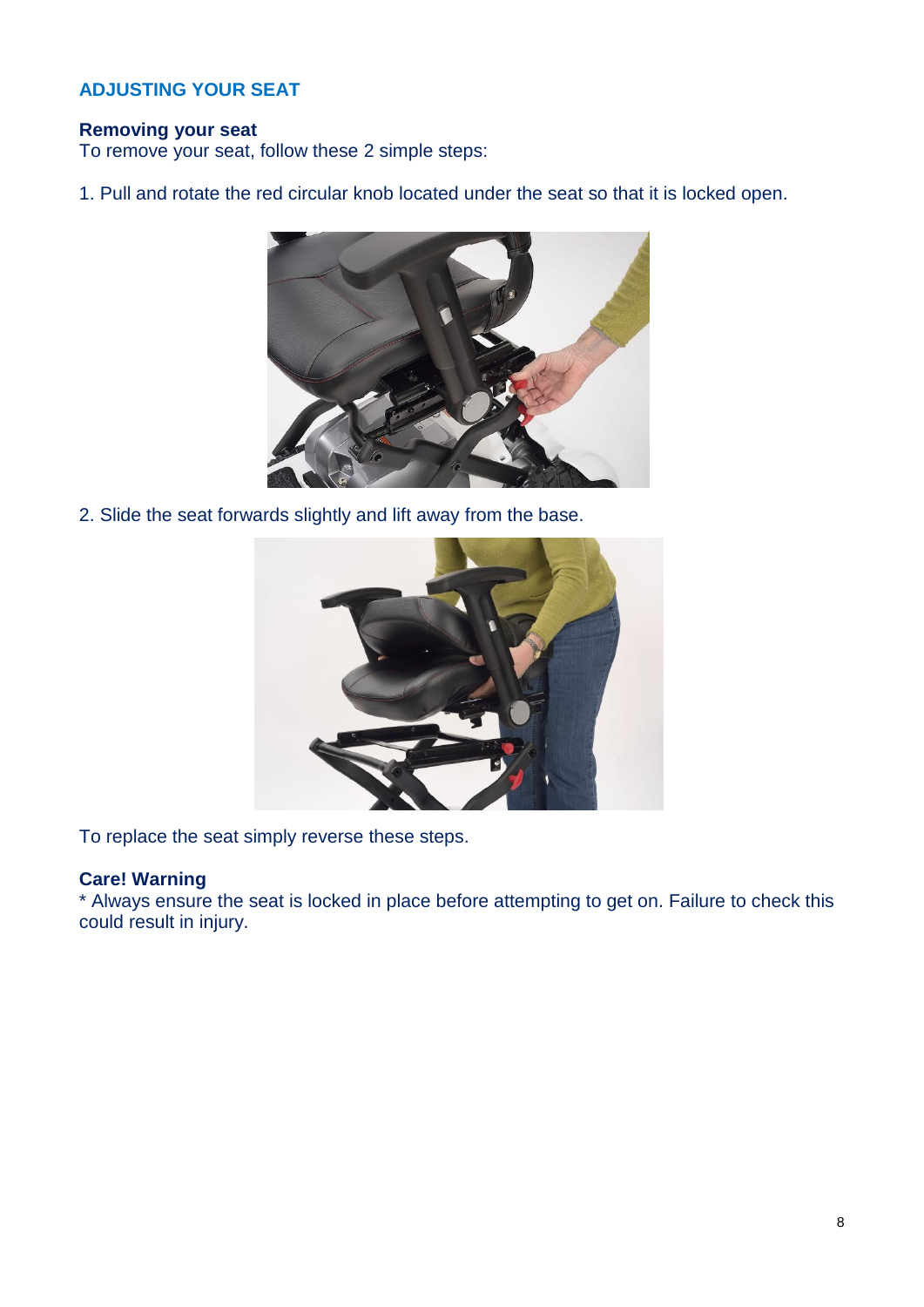# **ADJUSTING YOUR SEAT**

# **Removing your seat**

To remove your seat, follow these 2 simple steps:

1. Pull and rotate the red circular knob located under the seat so that it is locked open.



2. Slide the seat forwards slightly and lift away from the base.



To replace the seat simply reverse these steps.

## **Care! Warning**

\* Always ensure the seat is locked in place before attempting to get on. Failure to check this could result in injury.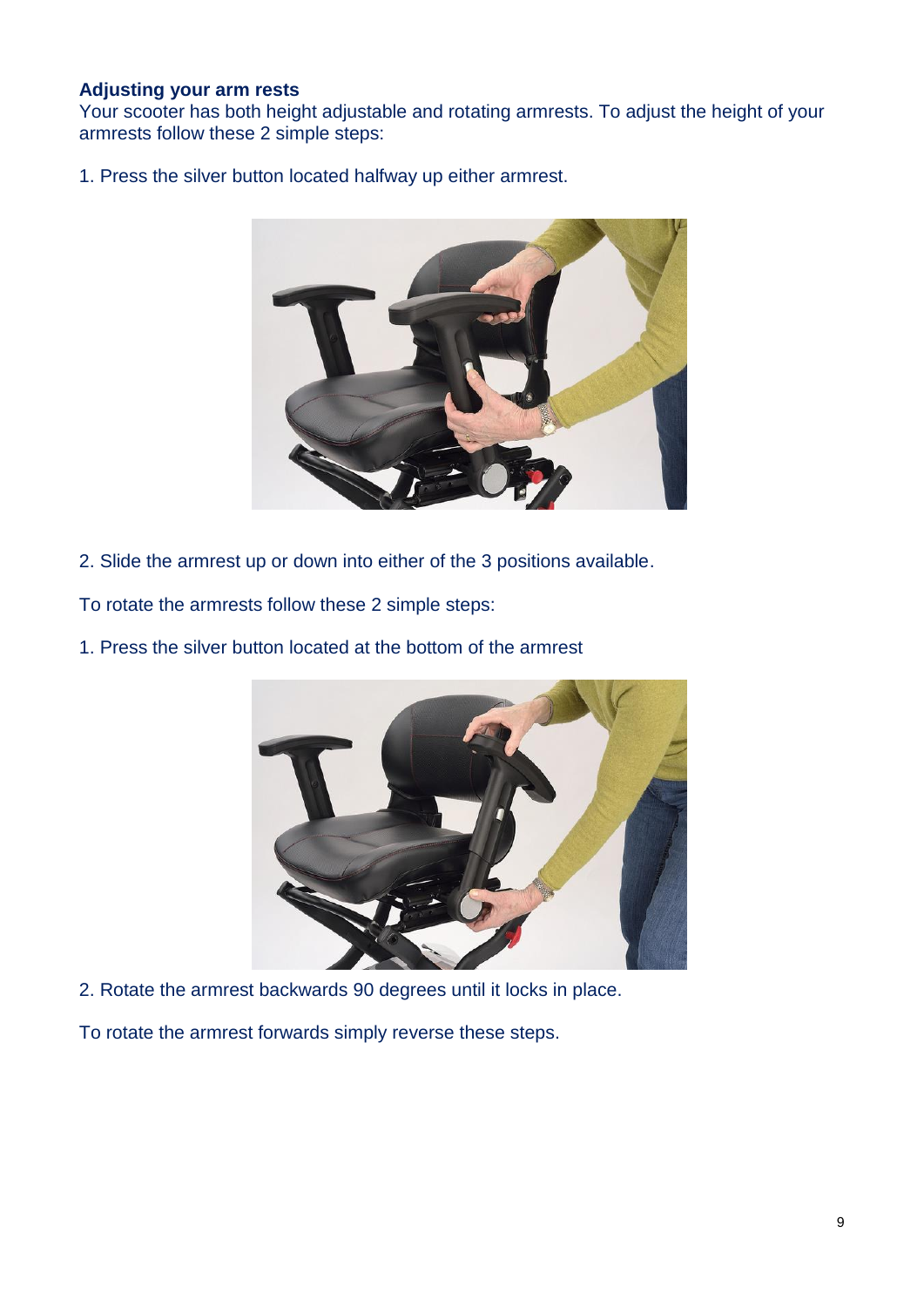#### **Adjusting your arm rests**

Your scooter has both height adjustable and rotating armrests. To adjust the height of your armrests follow these 2 simple steps:

1. Press the silver button located halfway up either armrest.



2. Slide the armrest up or down into either of the 3 positions available.

To rotate the armrests follow these 2 simple steps:

1. Press the silver button located at the bottom of the armrest



2. Rotate the armrest backwards 90 degrees until it locks in place.

To rotate the armrest forwards simply reverse these steps.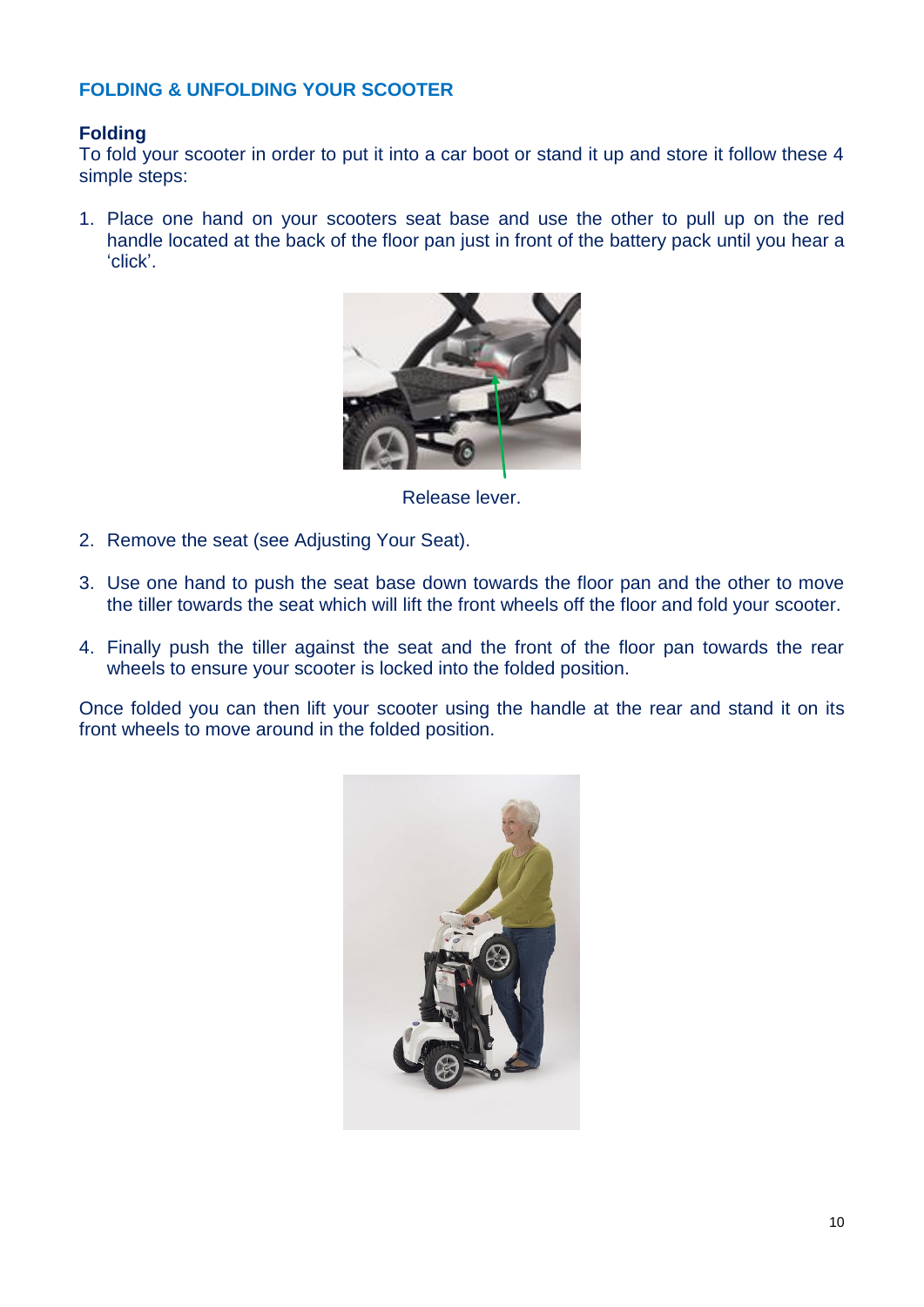# **FOLDING & UNFOLDING YOUR SCOOTER**

# **Folding**

To fold your scooter in order to put it into a car boot or stand it up and store it follow these 4 simple steps:

1. Place one hand on your scooters seat base and use the other to pull up on the red handle located at the back of the floor pan just in front of the battery pack until you hear a 'click'.



Release lever.

- 2. Remove the seat (see Adjusting Your Seat).
- 3. Use one hand to push the seat base down towards the floor pan and the other to move the tiller towards the seat which will lift the front wheels off the floor and fold your scooter.
- 4. Finally push the tiller against the seat and the front of the floor pan towards the rear wheels to ensure your scooter is locked into the folded position.

Once folded you can then lift your scooter using the handle at the rear and stand it on its front wheels to move around in the folded position.

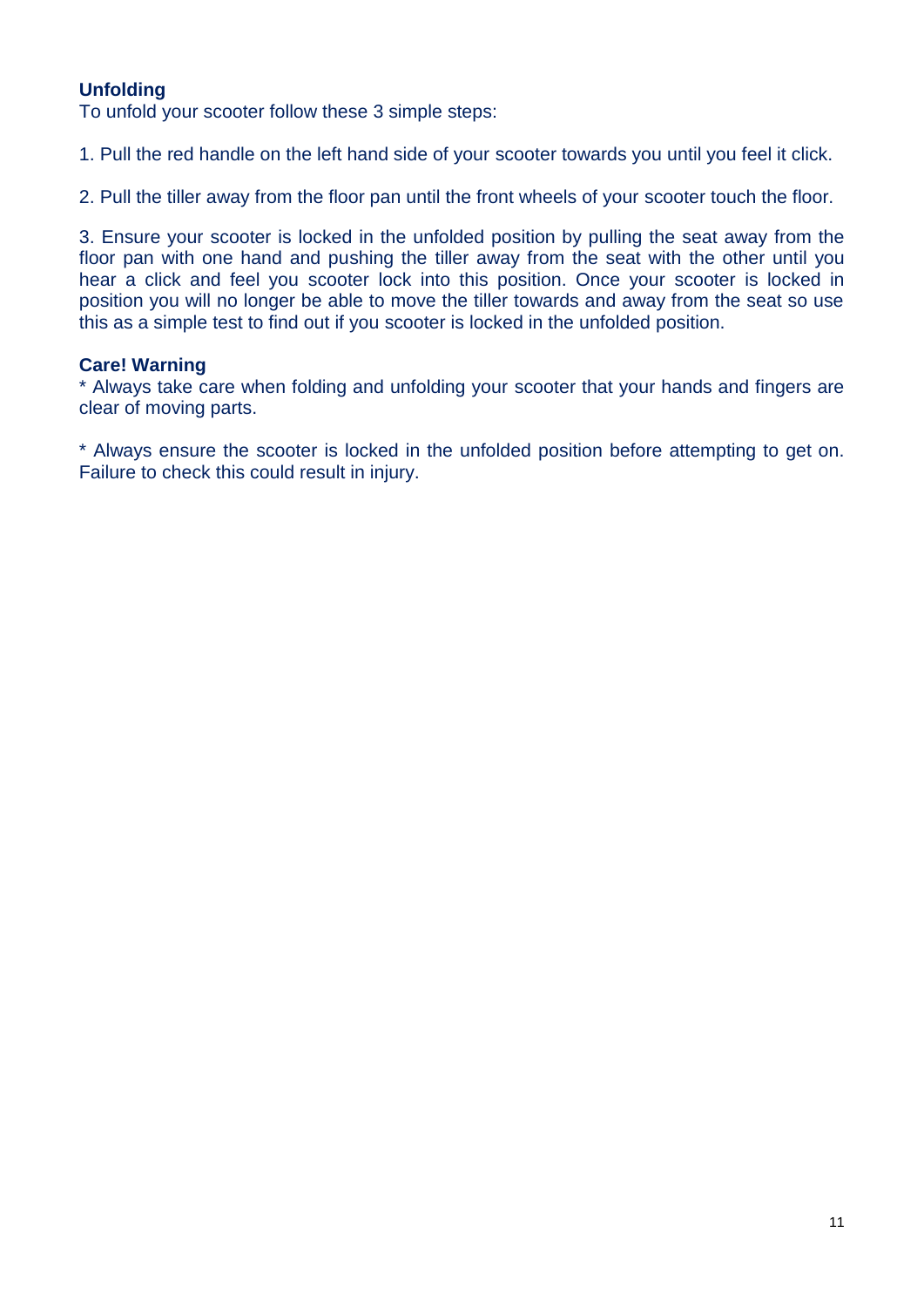# **Unfolding**

To unfold your scooter follow these 3 simple steps:

1. Pull the red handle on the left hand side of your scooter towards you until you feel it click.

2. Pull the tiller away from the floor pan until the front wheels of your scooter touch the floor.

3. Ensure your scooter is locked in the unfolded position by pulling the seat away from the floor pan with one hand and pushing the tiller away from the seat with the other until you hear a click and feel you scooter lock into this position. Once your scooter is locked in position you will no longer be able to move the tiller towards and away from the seat so use this as a simple test to find out if you scooter is locked in the unfolded position.

#### **Care! Warning**

\* Always take care when folding and unfolding your scooter that your hands and fingers are clear of moving parts.

\* Always ensure the scooter is locked in the unfolded position before attempting to get on. Failure to check this could result in injury.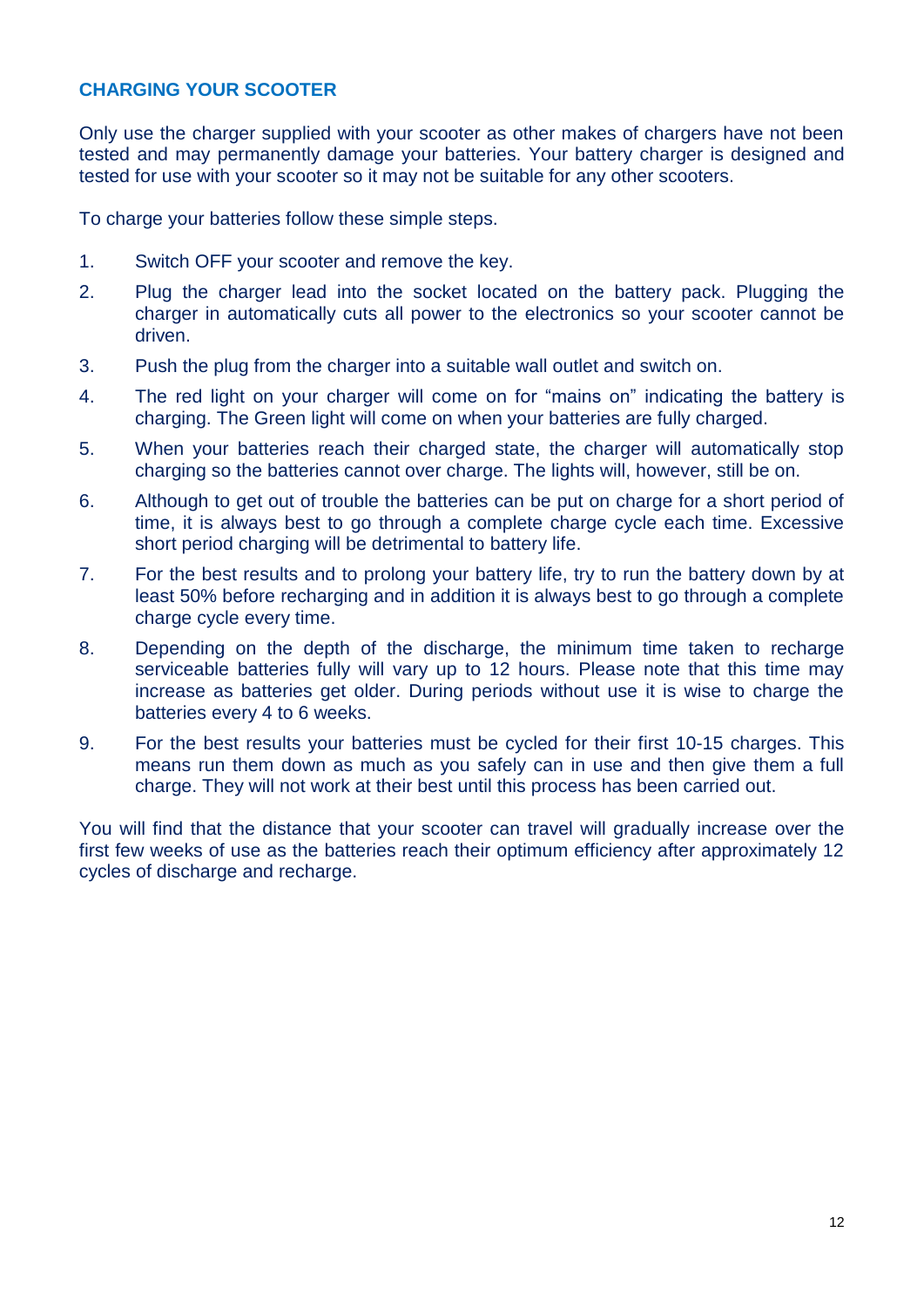# **CHARGING YOUR SCOOTER**

Only use the charger supplied with your scooter as other makes of chargers have not been tested and may permanently damage your batteries. Your battery charger is designed and tested for use with your scooter so it may not be suitable for any other scooters.

To charge your batteries follow these simple steps.

- 1. Switch OFF your scooter and remove the key.
- 2. Plug the charger lead into the socket located on the battery pack. Plugging the charger in automatically cuts all power to the electronics so your scooter cannot be driven.
- 3. Push the plug from the charger into a suitable wall outlet and switch on.
- 4. The red light on your charger will come on for "mains on" indicating the battery is charging. The Green light will come on when your batteries are fully charged.
- 5. When your batteries reach their charged state, the charger will automatically stop charging so the batteries cannot over charge. The lights will, however, still be on.
- 6. Although to get out of trouble the batteries can be put on charge for a short period of time, it is always best to go through a complete charge cycle each time. Excessive short period charging will be detrimental to battery life.
- 7. For the best results and to prolong your battery life, try to run the battery down by at least 50% before recharging and in addition it is always best to go through a complete charge cycle every time.
- 8. Depending on the depth of the discharge, the minimum time taken to recharge serviceable batteries fully will vary up to 12 hours. Please note that this time may increase as batteries get older. During periods without use it is wise to charge the batteries every 4 to 6 weeks.
- 9. For the best results your batteries must be cycled for their first 10-15 charges. This means run them down as much as you safely can in use and then give them a full charge. They will not work at their best until this process has been carried out.

You will find that the distance that your scooter can travel will gradually increase over the first few weeks of use as the batteries reach their optimum efficiency after approximately 12 cycles of discharge and recharge.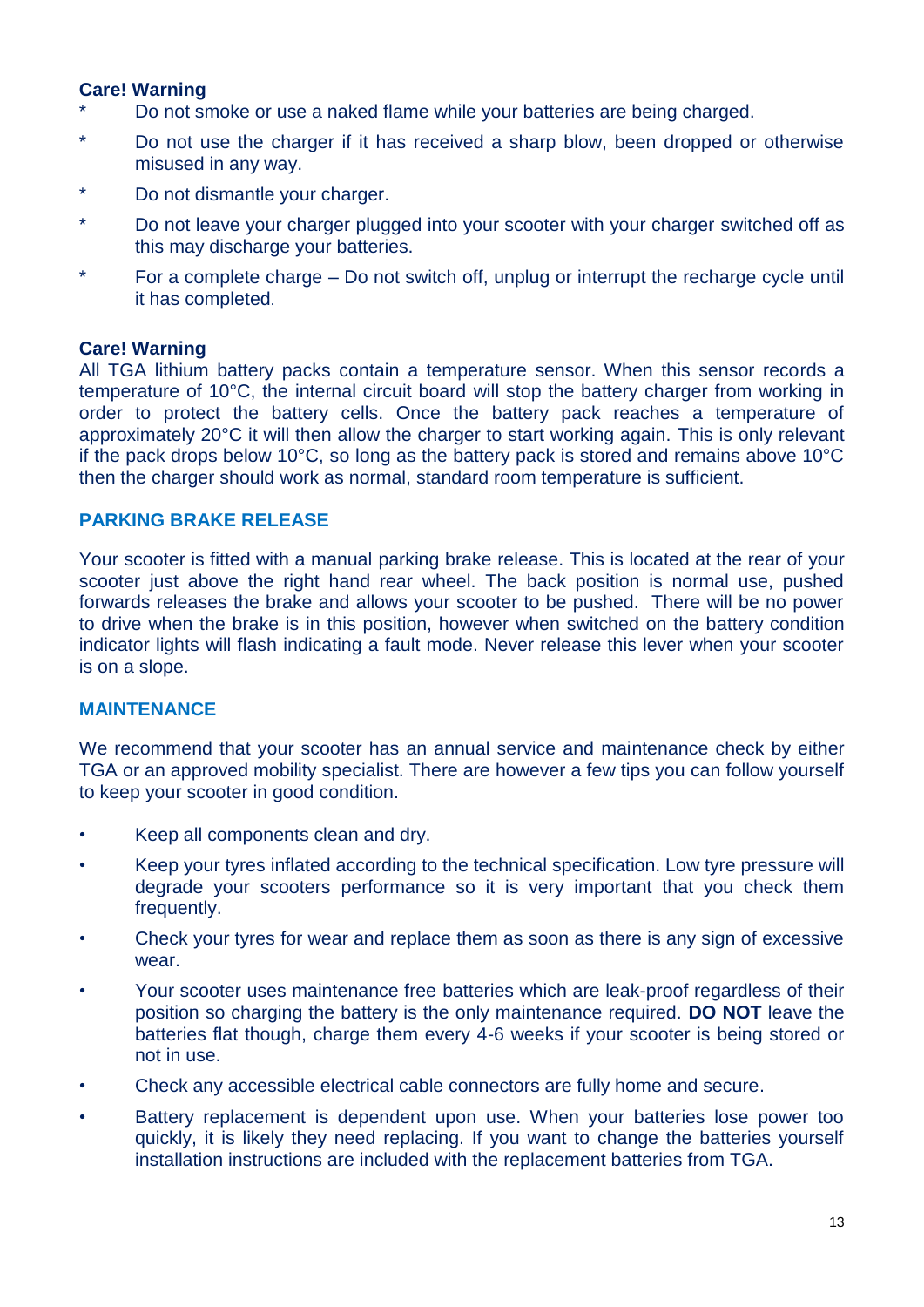## **Care! Warning**

- Do not smoke or use a naked flame while your batteries are being charged.
- \* Do not use the charger if it has received a sharp blow, been dropped or otherwise misused in any way.
- \* Do not dismantle your charger.
- \* Do not leave your charger plugged into your scooter with your charger switched off as this may discharge your batteries.
- \* For a complete charge Do not switch off, unplug or interrupt the recharge cycle until it has completed.

### **Care! Warning**

All TGA lithium battery packs contain a temperature sensor. When this sensor records a temperature of 10°C, the internal circuit board will stop the battery charger from working in order to protect the battery cells. Once the battery pack reaches a temperature of approximately 20°C it will then allow the charger to start working again. This is only relevant if the pack drops below 10°C, so long as the battery pack is stored and remains above 10°C then the charger should work as normal, standard room temperature is sufficient.

# **PARKING BRAKE RELEASE**

Your scooter is fitted with a manual parking brake release. This is located at the rear of your scooter just above the right hand rear wheel. The back position is normal use, pushed forwards releases the brake and allows your scooter to be pushed. There will be no power to drive when the brake is in this position, however when switched on the battery condition indicator lights will flash indicating a fault mode. Never release this lever when your scooter is on a slope.

### **MAINTENANCE**

We recommend that your scooter has an annual service and maintenance check by either TGA or an approved mobility specialist. There are however a few tips you can follow yourself to keep your scooter in good condition.

- Keep all components clean and dry.
- Keep your tyres inflated according to the technical specification. Low tyre pressure will degrade your scooters performance so it is very important that you check them frequently.
- Check your tyres for wear and replace them as soon as there is any sign of excessive wear.
- Your scooter uses maintenance free batteries which are leak-proof regardless of their position so charging the battery is the only maintenance required. **DO NOT** leave the batteries flat though, charge them every 4-6 weeks if your scooter is being stored or not in use.
- Check any accessible electrical cable connectors are fully home and secure.
- Battery replacement is dependent upon use. When your batteries lose power too quickly, it is likely they need replacing. If you want to change the batteries yourself installation instructions are included with the replacement batteries from TGA.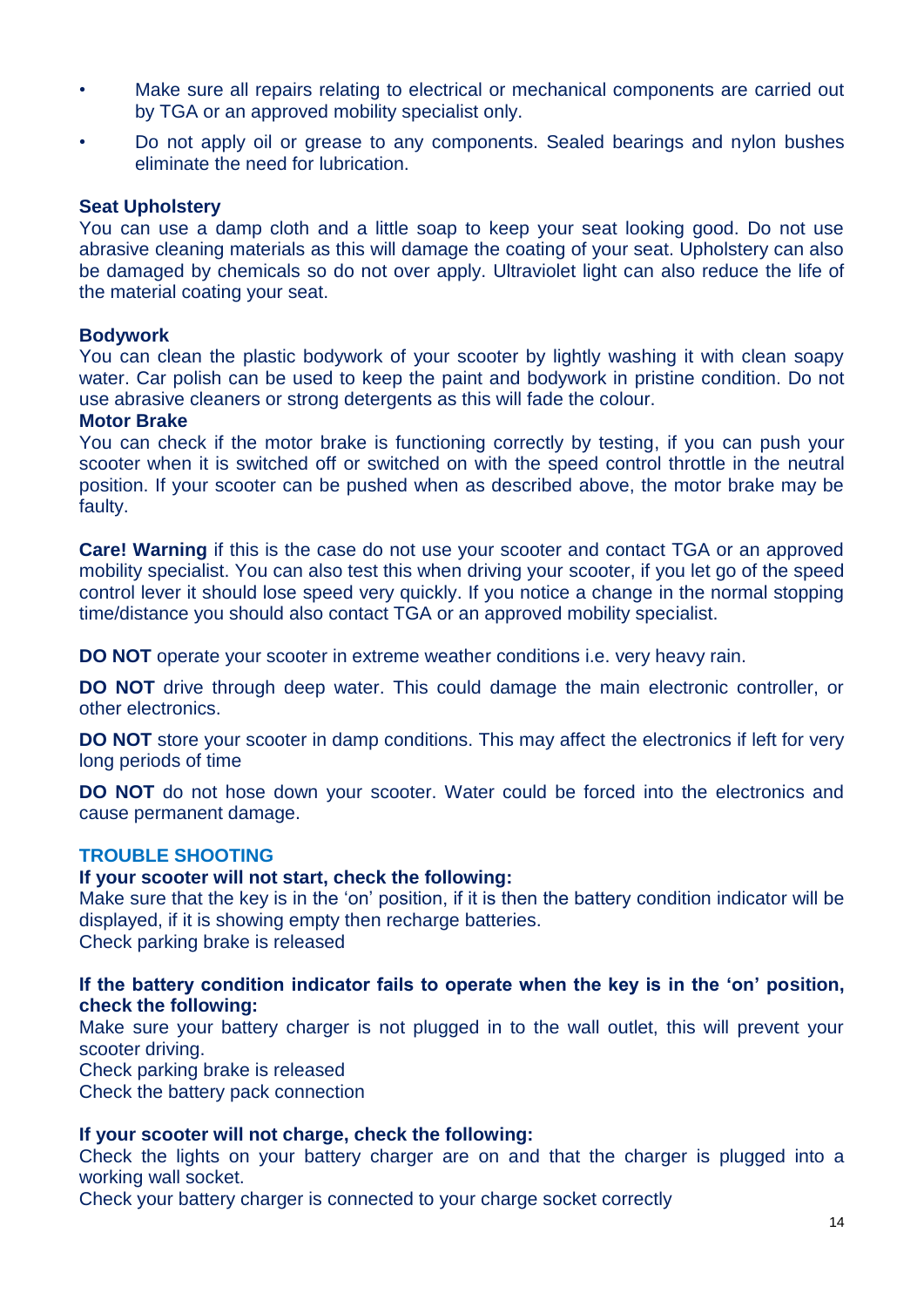- Make sure all repairs relating to electrical or mechanical components are carried out by TGA or an approved mobility specialist only.
- Do not apply oil or grease to any components. Sealed bearings and nylon bushes eliminate the need for lubrication.

#### **Seat Upholstery**

You can use a damp cloth and a little soap to keep your seat looking good. Do not use abrasive cleaning materials as this will damage the coating of your seat. Upholstery can also be damaged by chemicals so do not over apply. Ultraviolet light can also reduce the life of the material coating your seat.

#### **Bodywork**

You can clean the plastic bodywork of your scooter by lightly washing it with clean soapy water. Car polish can be used to keep the paint and bodywork in pristine condition. Do not use abrasive cleaners or strong detergents as this will fade the colour.

#### **Motor Brake**

You can check if the motor brake is functioning correctly by testing, if you can push your scooter when it is switched off or switched on with the speed control throttle in the neutral position. If your scooter can be pushed when as described above, the motor brake may be faulty.

**Care! Warning** if this is the case do not use your scooter and contact TGA or an approved mobility specialist. You can also test this when driving your scooter, if you let go of the speed control lever it should lose speed very quickly. If you notice a change in the normal stopping time/distance you should also contact TGA or an approved mobility specialist.

**DO NOT** operate your scooter in extreme weather conditions i.e. very heavy rain.

**DO NOT** drive through deep water. This could damage the main electronic controller, or other electronics.

**DO NOT** store your scooter in damp conditions. This may affect the electronics if left for very long periods of time

**DO NOT** do not hose down your scooter. Water could be forced into the electronics and cause permanent damage.

### **TROUBLE SHOOTING**

#### **If your scooter will not start, check the following:**

Make sure that the key is in the 'on' position, if it is then the battery condition indicator will be displayed, if it is showing empty then recharge batteries. Check parking brake is released

#### **If the battery condition indicator fails to operate when the key is in the 'on' position, check the following:**

Make sure your battery charger is not plugged in to the wall outlet, this will prevent your scooter driving.

Check parking brake is released

Check the battery pack connection

### **If your scooter will not charge, check the following:**

Check the lights on your battery charger are on and that the charger is plugged into a working wall socket.

Check your battery charger is connected to your charge socket correctly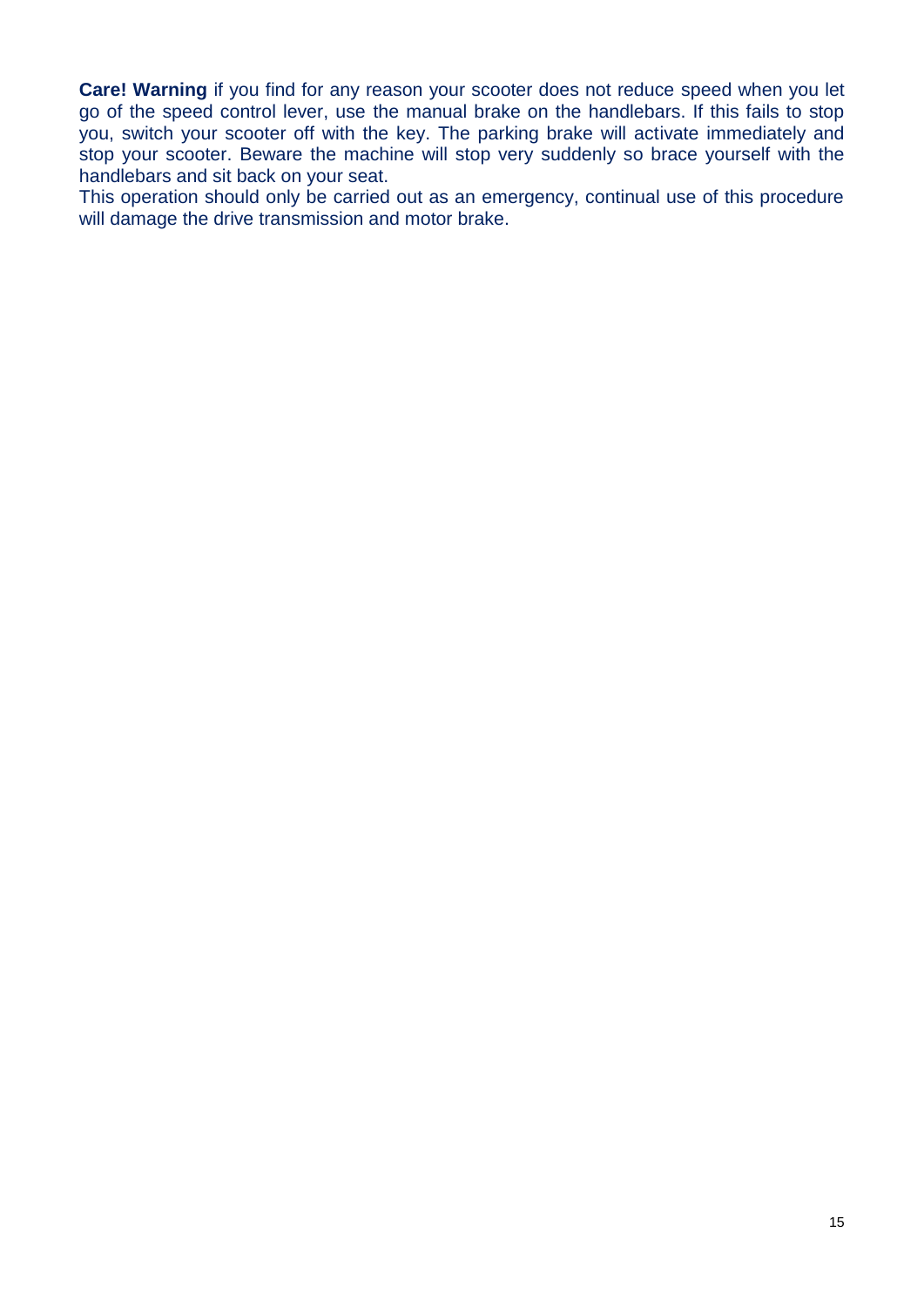**Care! Warning** if you find for any reason your scooter does not reduce speed when you let go of the speed control lever, use the manual brake on the handlebars. If this fails to stop you, switch your scooter off with the key. The parking brake will activate immediately and stop your scooter. Beware the machine will stop very suddenly so brace yourself with the handlebars and sit back on your seat.

This operation should only be carried out as an emergency, continual use of this procedure will damage the drive transmission and motor brake.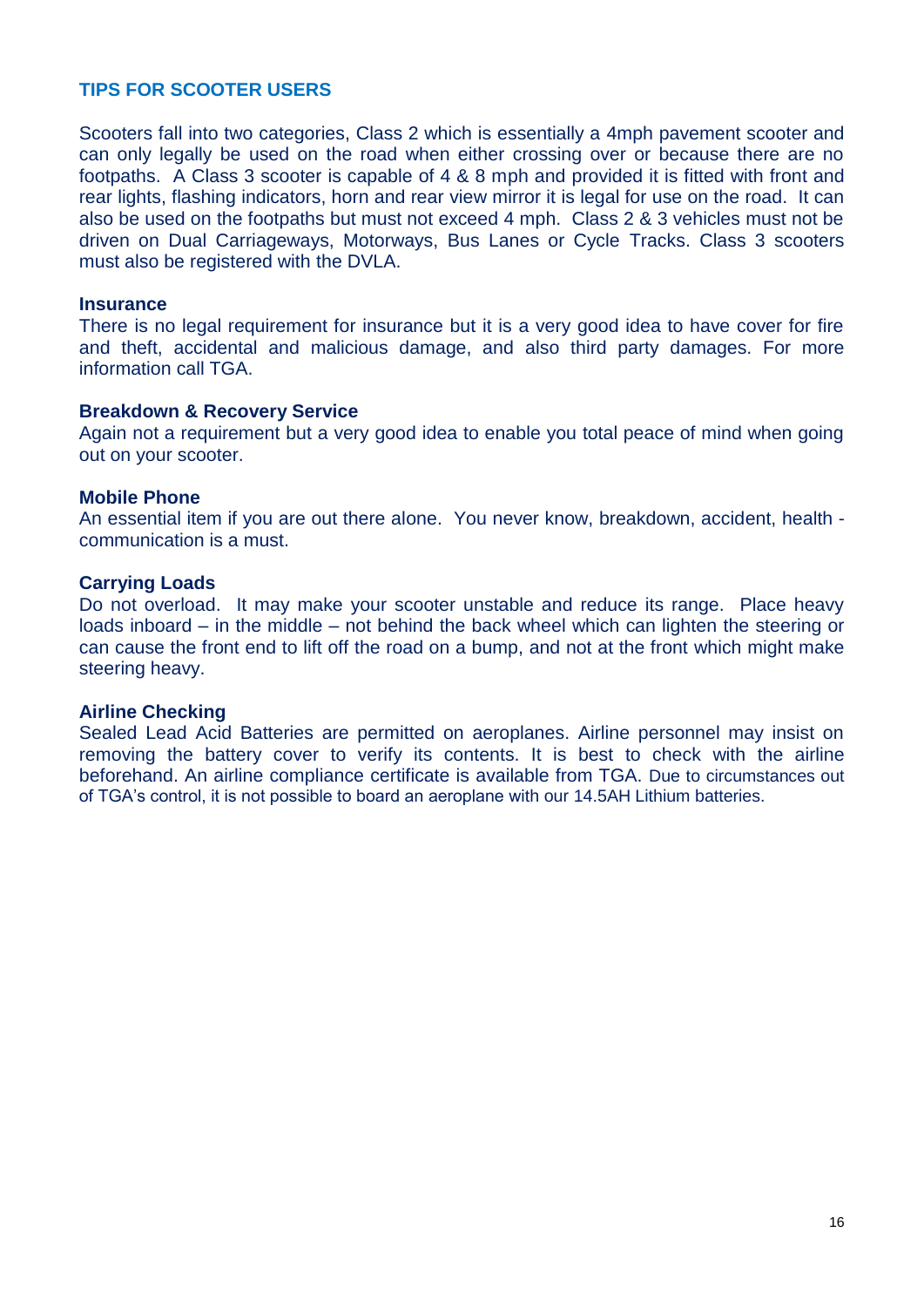### **TIPS FOR SCOOTER USERS**

Scooters fall into two categories, Class 2 which is essentially a 4mph pavement scooter and can only legally be used on the road when either crossing over or because there are no footpaths. A Class 3 scooter is capable of 4 & 8 mph and provided it is fitted with front and rear lights, flashing indicators, horn and rear view mirror it is legal for use on the road. It can also be used on the footpaths but must not exceed 4 mph. Class 2 & 3 vehicles must not be driven on Dual Carriageways, Motorways, Bus Lanes or Cycle Tracks. Class 3 scooters must also be registered with the DVLA.

#### **Insurance**

There is no legal requirement for insurance but it is a very good idea to have cover for fire and theft, accidental and malicious damage, and also third party damages. For more information call TGA.

#### **Breakdown & Recovery Service**

Again not a requirement but a very good idea to enable you total peace of mind when going out on your scooter.

#### **Mobile Phone**

An essential item if you are out there alone. You never know, breakdown, accident, health communication is a must.

#### **Carrying Loads**

Do not overload. It may make your scooter unstable and reduce its range. Place heavy loads inboard – in the middle – not behind the back wheel which can lighten the steering or can cause the front end to lift off the road on a bump, and not at the front which might make steering heavy.

#### **Airline Checking**

Sealed Lead Acid Batteries are permitted on aeroplanes. Airline personnel may insist on removing the battery cover to verify its contents. It is best to check with the airline beforehand. An airline compliance certificate is available from TGA. Due to circumstances out of TGA's control, it is not possible to board an aeroplane with our 14.5AH Lithium batteries.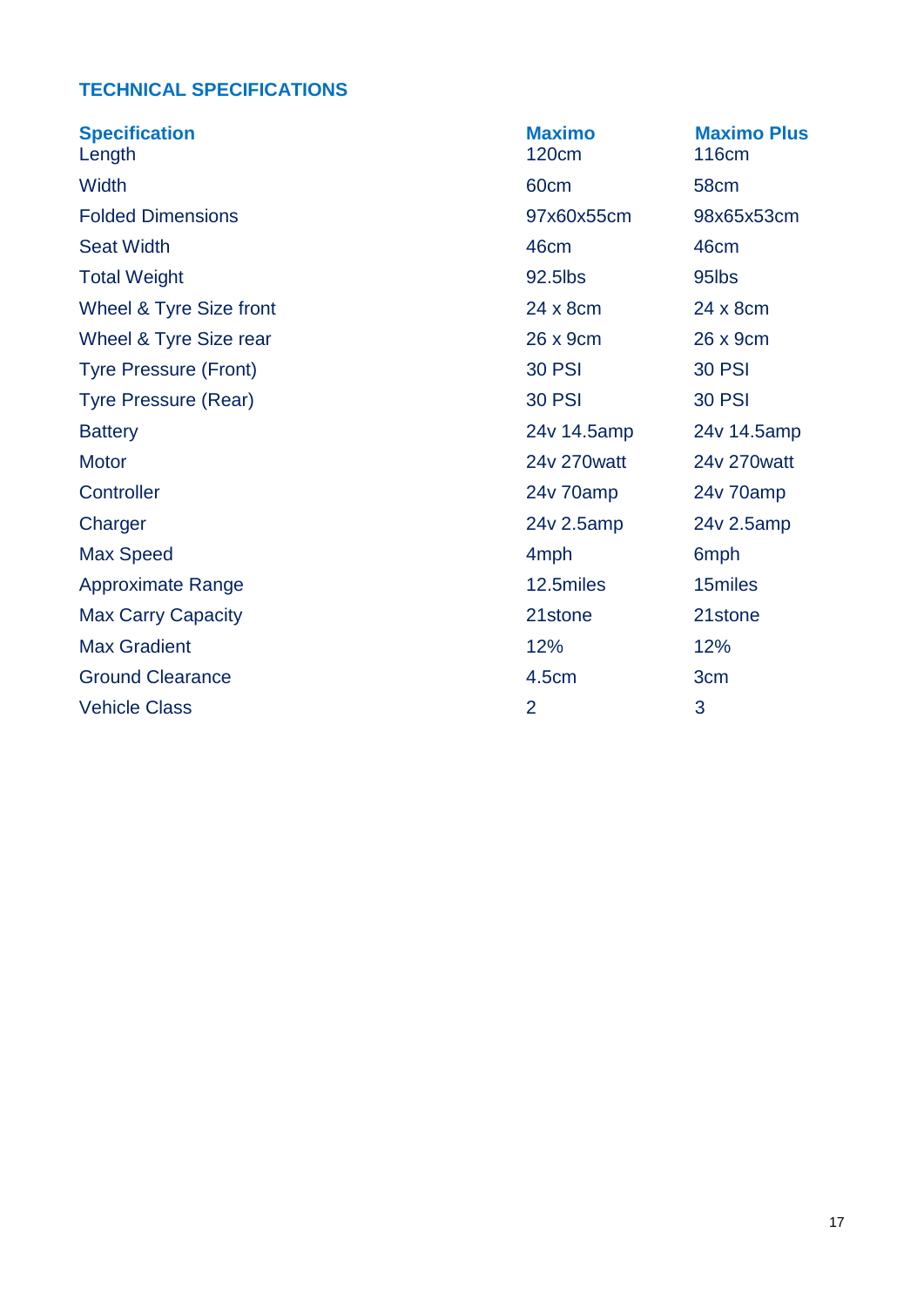# **TECHNICAL SPECIFICATIONS**

| <b>Specification</b><br>Length | <b>Maximo</b><br><b>120cm</b> | <b>Maximo Plus</b><br><b>116cm</b> |
|--------------------------------|-------------------------------|------------------------------------|
| Width                          | 60cm                          | 58cm                               |
| <b>Folded Dimensions</b>       | 97x60x55cm                    | 98x65x53cm                         |
| <b>Seat Width</b>              | 46cm                          | 46cm                               |
| <b>Total Weight</b>            | 92.5lbs                       | 95lbs                              |
| Wheel & Tyre Size front        | 24 x 8cm                      | 24 x 8cm                           |
| Wheel & Tyre Size rear         | 26 x 9cm                      | 26 x 9cm                           |
| <b>Tyre Pressure (Front)</b>   | <b>30 PSI</b>                 | <b>30 PSI</b>                      |
| <b>Tyre Pressure (Rear)</b>    | <b>30 PSI</b>                 | <b>30 PSI</b>                      |
| <b>Battery</b>                 | 24v 14.5amp                   | 24v 14.5amp                        |
| <b>Motor</b>                   | 24v 270watt                   | 24v 270watt                        |
| Controller                     | 24v 70amp                     | 24v 70amp                          |
| Charger                        | 24v 2.5amp                    | 24v 2.5amp                         |
| <b>Max Speed</b>               | 4 <sub>mph</sub>              | 6 <sub>mph</sub>                   |
| <b>Approximate Range</b>       | 12.5miles                     | 15miles                            |
| <b>Max Carry Capacity</b>      | 21stone                       | 21stone                            |
| <b>Max Gradient</b>            | 12%                           | 12%                                |
| <b>Ground Clearance</b>        | 4.5cm                         | 3cm                                |
| <b>Vehicle Class</b>           | $\overline{2}$                | 3                                  |
|                                |                               |                                    |